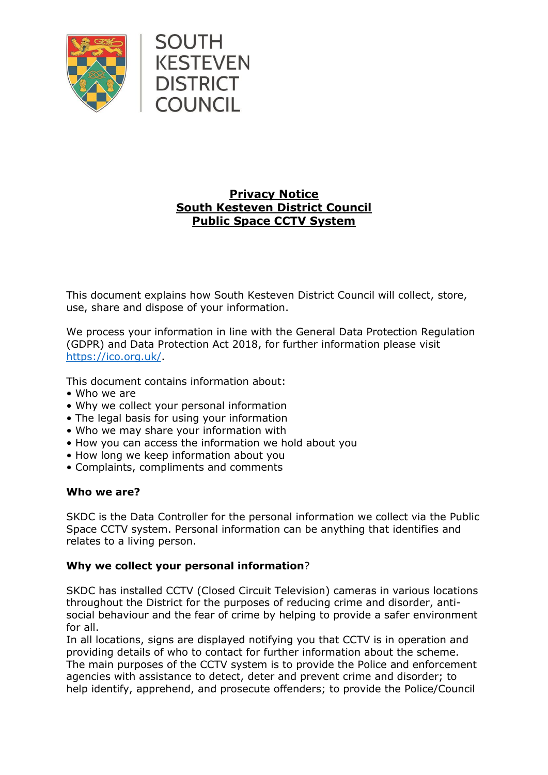

# **Privacy Notice South Kesteven District Council Public Space CCTV System**

This document explains how South Kesteven District Council will collect, store, use, share and dispose of your information.

We process your information in line with the General Data Protection Regulation (GDPR) and Data Protection Act 2018, for further information please visit [https://ico.org.uk/.](https://ico.org.uk/)

This document contains information about:

- Who we are
- Why we collect your personal information
- The legal basis for using your information
- Who we may share your information with
- How you can access the information we hold about you
- How long we keep information about you
- Complaints, compliments and comments

# **Who we are?**

SKDC is the Data Controller for the personal information we collect via the Public Space CCTV system. Personal information can be anything that identifies and relates to a living person.

# **Why we collect your personal information**?

SKDC has installed CCTV (Closed Circuit Television) cameras in various locations throughout the District for the purposes of reducing crime and disorder, antisocial behaviour and the fear of crime by helping to provide a safer environment for all.

In all locations, signs are displayed notifying you that CCTV is in operation and providing details of who to contact for further information about the scheme. The main purposes of the CCTV system is to provide the Police and enforcement agencies with assistance to detect, deter and prevent crime and disorder; to help identify, apprehend, and prosecute offenders; to provide the Police/Council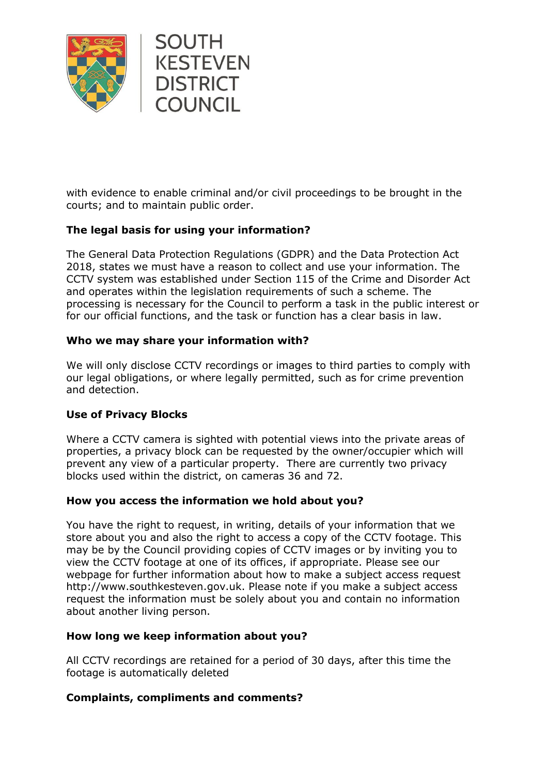

with evidence to enable criminal and/or civil proceedings to be brought in the courts; and to maintain public order.

# **The legal basis for using your information?**

The General Data Protection Regulations (GDPR) and the Data Protection Act 2018, states we must have a reason to collect and use your information. The CCTV system was established under Section 115 of the Crime and Disorder Act and operates within the legislation requirements of such a scheme. The processing is necessary for the Council to perform a task in the public interest or for our official functions, and the task or function has a clear basis in law.

### **Who we may share your information with?**

We will only disclose CCTV recordings or images to third parties to comply with our legal obligations, or where legally permitted, such as for crime prevention and detection.

# **Use of Privacy Blocks**

Where a CCTV camera is sighted with potential views into the private areas of properties, a privacy block can be requested by the owner/occupier which will prevent any view of a particular property. There are currently two privacy blocks used within the district, on cameras 36 and 72.

### **How you access the information we hold about you?**

You have the right to request, in writing, details of your information that we store about you and also the right to access a copy of the CCTV footage. This may be by the Council providing copies of CCTV images or by inviting you to view the CCTV footage at one of its offices, if appropriate. Please see our webpage for further information about how to make a subject access request http://www.southkesteven.gov.uk. Please note if you make a subject access request the information must be solely about you and contain no information about another living person.

### **How long we keep information about you?**

All CCTV recordings are retained for a period of 30 days, after this time the footage is automatically deleted

### **Complaints, compliments and comments?**